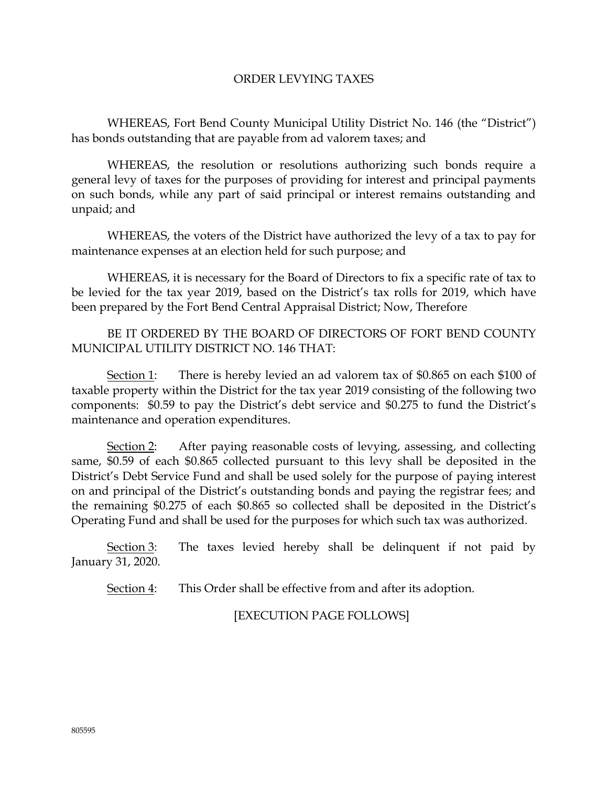## ORDER LEVYING TAXES

WHEREAS, Fort Bend County Municipal Utility District No. 146 (the "District") has bonds outstanding that are payable from ad valorem taxes; and

WHEREAS, the resolution or resolutions authorizing such bonds require a general levy of taxes for the purposes of providing for interest and principal payments on such bonds, while any part of said principal or interest remains outstanding and unpaid; and

WHEREAS, the voters of the District have authorized the levy of a tax to pay for maintenance expenses at an election held for such purpose; and

WHEREAS, it is necessary for the Board of Directors to fix a specific rate of tax to be levied for the tax year 2019, based on the District's tax rolls for 2019, which have been prepared by the Fort Bend Central Appraisal District; Now, Therefore

BE IT ORDERED BY THE BOARD OF DIRECTORS OF FORT BEND COUNTY MUNICIPAL UTILITY DISTRICT NO. 146 THAT:

Section 1: There is hereby levied an ad valorem tax of \$0.865 on each \$100 of taxable property within the District for the tax year 2019 consisting of the following two components: \$0.59 to pay the District's debt service and \$0.275 to fund the District's maintenance and operation expenditures.

Section 2: After paying reasonable costs of levying, assessing, and collecting same, \$0.59 of each \$0.865 collected pursuant to this levy shall be deposited in the District's Debt Service Fund and shall be used solely for the purpose of paying interest on and principal of the District's outstanding bonds and paying the registrar fees; and the remaining \$0.275 of each \$0.865 so collected shall be deposited in the District's Operating Fund and shall be used for the purposes for which such tax was authorized.

Section 3: The taxes levied hereby shall be delinquent if not paid by January 31, 2020.

Section 4: This Order shall be effective from and after its adoption.

[EXECUTION PAGE FOLLOWS]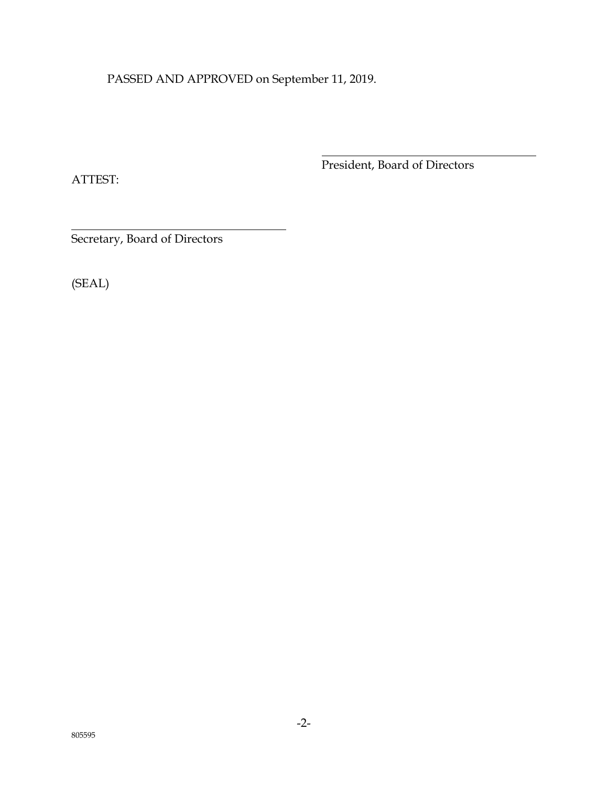PASSED AND APPROVED on September 11, 2019.

ATTEST:

President, Board of Directors

Secretary, Board of Directors

(SEAL)